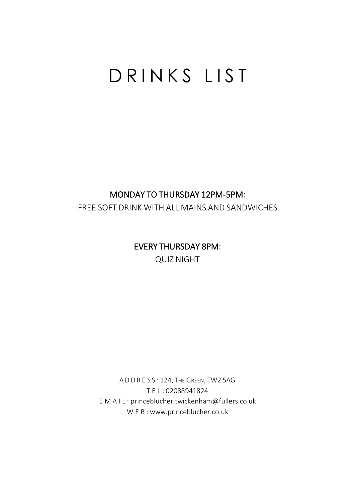# D R I N K S L I S T

#### MONDAY TO THURSDAY 12PM-5PM:

FREE SOFT DRINK WITH ALL MAINS AND SANDWICHES

#### EVERY THURSDAY 8PM:

QUIZ NIGHT

A D D R E S S : 124, THE GREEN, TW2 5AG T E L : 02088941824 E M A I L : princeblucher.twickenham@fullers.co.uk W E B : www.princeblucher.co.uk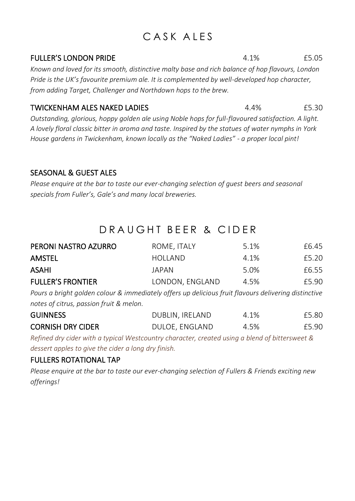# CASK ALES

#### FULLER'S LONDON PRIDE  $4.1\%$  65.05

*Known and loved for its smooth, distinctive malty base and rich balance of hop flavours, London Pride is the UK's favourite premium ale. It is complemented by well-developed hop character, from adding Target, Challenger and Northdown hops to the brew.*

#### TWICKENHAM ALES NAKED LADIES 4.4% £5.30

*Outstanding, glorious, hoppy golden ale using Noble hops for full-flavoured satisfaction. A light. A lovely floral classic bitter in aroma and taste. Inspired by the statues of water nymphs in York House gardens in Twickenham, known locally as the "Naked Ladies" - a proper local pint!* 

#### SEASONAL & GUEST ALES

*Please enquire at the bar to taste our ever-changing selection of guest beers and seasonal specials from Fuller's, Gale's and many local breweries.*

## D R A U G H T B F F R & C I D F R

| PERONI NASTRO AZURRO                                                                                   | ROME, ITALY     | 5.1% | £6.45 |
|--------------------------------------------------------------------------------------------------------|-----------------|------|-------|
| AMSTEL                                                                                                 | HOLLAND         | 4.1% | £5.20 |
| ASAHI                                                                                                  | IAPAN           | 5.0% | £6.55 |
| <b>FULLER'S FRONTIER</b>                                                                               | LONDON, ENGLAND | 4.5% | £5.90 |
| Doure a bright and don colour 8, immodiately offers un delicious fruit flavours delivering distinctive |                 |      |       |

*Pours a bright golden colour & immediately offers up delicious fruit flavours delivering distinctive notes of citrus, passion fruit & melon.*

| <b>GUINNESS</b>          | DUBLIN, IRELAND | 4.1% | £5.80 |
|--------------------------|-----------------|------|-------|
| <b>CORNISH DRY CIDER</b> | DULOE, ENGLAND  | 4.5% | £5.90 |

*Refined dry cider with a typical Westcountry character, created using a blend of bittersweet & dessert apples to give the cider a long dry finish.*

#### FULLERS ROTATIONAL TAP

*Please enquire at the bar to taste our ever-changing selection of Fullers & Friends exciting new offerings!*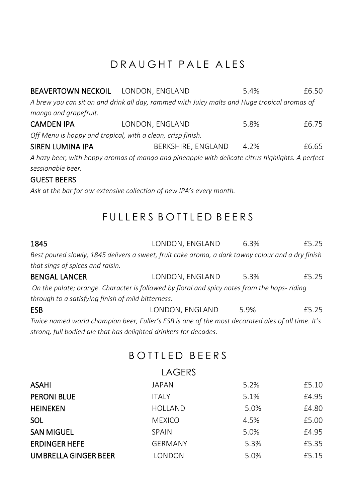# D R A U G H T P A L E A L E S

| <b>BEAVERTOWN NECKOIL LONDON, ENGLAND</b>                                                        |                                                                                              | 5.4% | £6.50 |
|--------------------------------------------------------------------------------------------------|----------------------------------------------------------------------------------------------|------|-------|
|                                                                                                  | A brew you can sit on and drink all day, rammed with Juicy malts and Huge tropical aromas of |      |       |
| mango and grapefruit.                                                                            |                                                                                              |      |       |
| <b>CAMDEN IPA</b>                                                                                | LONDON, ENGLAND                                                                              | 5.8% | £6.75 |
| Off Menu is hoppy and tropical, with a clean, crisp finish.                                      |                                                                                              |      |       |
| SIREN LUMINA IPA                                                                                 | BERKSHIRE, ENGLAND                                                                           | 4.2% | £6.65 |
| A hazy beer, with hoppy aromas of mango and pineapple with delicate citrus highlights. A perfect |                                                                                              |      |       |
| sessionable beer.                                                                                |                                                                                              |      |       |

#### GUEST BEERS

*Ask at the bar for our extensive collection of new IPA's every month.* 

# FULLERS BOTTLED BEERS

| 1845                                               | LONDON, ENGLAND                                                                                   | 6.3% | £5.25 |
|----------------------------------------------------|---------------------------------------------------------------------------------------------------|------|-------|
|                                                    | Best poured slowly, 1845 delivers a sweet, fruit cake aroma, a dark tawny colour and a dry finish |      |       |
| that sings of spices and raisin.                   |                                                                                                   |      |       |
| <b>BENGAL LANCER</b>                               | LONDON, ENGLAND                                                                                   | 5.3% | £5.25 |
|                                                    | On the palate; orange. Character is followed by floral and spicy notes from the hops-riding       |      |       |
| through to a satisfying finish of mild bitterness. |                                                                                                   |      |       |
| <b>ESB</b>                                         | LONDON, ENGLAND                                                                                   | 5.9% | £5.25 |

*Twice named world champion beer, Fuller's ESB is one of the most decorated ales of all time. It's strong, full bodied ale that has delighted drinkers for decades.* 

## BOTTLED BEERS

|                             | LAGERS         |      |       |
|-----------------------------|----------------|------|-------|
| ASAHI                       | JAPAN          | 5.2% | £5.10 |
| <b>PERONI BLUE</b>          | <b>ITALY</b>   | 5.1% | £4.95 |
| <b>HEINEKEN</b>             | <b>HOLLAND</b> | 5.0% | £4.80 |
| <b>SOL</b>                  | <b>MEXICO</b>  | 4.5% | £5.00 |
| <b>SAN MIGUEL</b>           | SPAIN          | 5.0% | £4.95 |
| <b>ERDINGER HEFE</b>        | <b>GERMANY</b> | 5.3% | £5.35 |
| <b>UMBRELLA GINGER BEER</b> | LONDON         | 5.0% | £5.15 |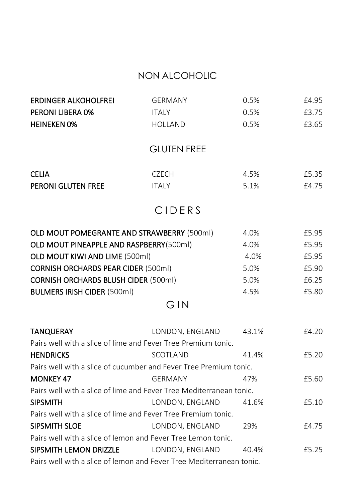#### NON ALCOHOLIC

| <b>ERDINGER ALKOHOLFREI</b>                                          | GERMANY            | 0.5%  | £4.95 |
|----------------------------------------------------------------------|--------------------|-------|-------|
| PERONI LIBERA 0%                                                     | <b>ITALY</b>       | 0.5%  | £3.75 |
| <b>HEINEKEN 0%</b>                                                   | HOLLAND            | 0.5%  | £3.65 |
|                                                                      | <b>GLUTEN FREE</b> |       |       |
| <b>CELIA</b>                                                         | <b>CZECH</b>       | 4.5%  | £5.35 |
| PERONI GLUTEN FREE                                                   | <b>ITALY</b>       | 5.1%  | £4.75 |
|                                                                      | CIDERS             |       |       |
| OLD MOUT POMEGRANTE AND STRAWBERRY (500ml)                           |                    | 4.0%  | £5.95 |
| OLD MOUT PINEAPPLE AND RASPBERRY(500ml)                              |                    | 4.0%  | £5.95 |
| OLD MOUT KIWI AND LIME (500ml)                                       |                    | 4.0%  | £5.95 |
| <b>CORNISH ORCHARDS PEAR CIDER (500ml)</b>                           |                    | 5.0%  | £5.90 |
| <b>CORNISH ORCHARDS BLUSH CIDER (500ml)</b>                          |                    | 5.0%  | £6.25 |
| <b>BULMERS IRISH CIDER (500ml)</b>                                   |                    | 4.5%  | £5.80 |
|                                                                      | GIN                |       |       |
| <b>TANQUERAY</b>                                                     | LONDON, ENGLAND    | 43.1% | £4.20 |
| Pairs well with a slice of lime and Fever Tree Premium tonic.        |                    |       |       |
| <b>HENDRICKS</b>                                                     | SCOTLAND           | 41.4% | £5.20 |
| Pairs well with a slice of cucumber and Fever Tree Premium tonic.    |                    |       |       |
| <b>MONKEY 47</b>                                                     | <b>GERMANY</b>     | 47%   | £5.60 |
| Pairs well with a slice of lime and Fever Tree Mediterranean tonic.  |                    |       |       |
| <b>SIPSMITH</b>                                                      | LONDON, ENGLAND    | 41.6% | £5.10 |
| Pairs well with a slice of lime and Fever Tree Premium tonic.        |                    |       |       |
| SIPSMITH SLOE                                                        | LONDON, ENGLAND    | 29%   | £4.75 |
| Pairs well with a slice of lemon and Fever Tree Lemon tonic.         |                    |       |       |
| SIPSMITH LEMON DRIZZLE                                               | LONDON, ENGLAND    | 40.4% | £5.25 |
| Pairs well with a slice of lemon and Fever Tree Mediterranean tonic. |                    |       |       |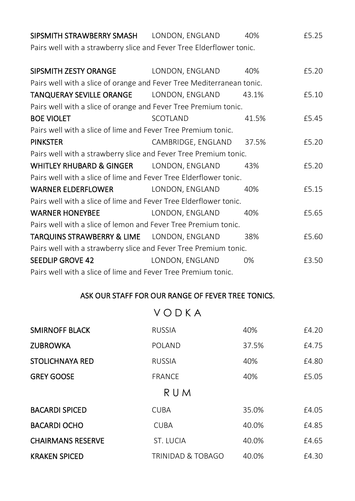| SIPSMITH STRAWBERRY SMASH LONDON, ENGLAND                             |                    | 40%   | £5.25 |
|-----------------------------------------------------------------------|--------------------|-------|-------|
| Pairs well with a strawberry slice and Fever Tree Elderflower tonic.  |                    |       |       |
| SIPSMITH ZESTY ORANGE                                                 | LONDON, ENGLAND    | 40%   | £5.20 |
| Pairs well with a slice of orange and Fever Tree Mediterranean tonic. |                    |       |       |
| <b>TANQUERAY SEVILLE ORANGE LONDON, ENGLAND</b>                       |                    | 43.1% | £5.10 |
| Pairs well with a slice of orange and Fever Tree Premium tonic.       |                    |       |       |
| <b>BOE VIOLET</b>                                                     | SCOTLAND           | 41.5% | £5.45 |
| Pairs well with a slice of lime and Fever Tree Premium tonic.         |                    |       |       |
| <b>PINKSTER</b>                                                       | CAMBRIDGE, ENGLAND | 37.5% | £5.20 |
| Pairs well with a strawberry slice and Fever Tree Premium tonic.      |                    |       |       |
| WHITLEY RHUBARD & GINGER LONDON, ENGLAND                              |                    | 43%   | £5.20 |
| Pairs well with a slice of lime and Fever Tree Elderflower tonic.     |                    |       |       |
| WARNER ELDERFLOWER                                                    | LONDON, ENGLAND    | 40%   | £5.15 |
| Pairs well with a slice of lime and Fever Tree Elderflower tonic.     |                    |       |       |
| <b>WARNER HONEYBEE</b>                                                | LONDON, ENGLAND    | 40%   | £5.65 |
| Pairs well with a slice of lemon and Fever Tree Premium tonic.        |                    |       |       |
| TARQUINS STRAWBERRY & LIME LONDON, ENGLAND                            |                    | 38%   | £5.60 |
| Pairs well with a strawberry slice and Fever Tree Premium tonic.      |                    |       |       |
| SEEDLIP GROVE 42                                                      | LONDON, ENGLAND    | 0%    | £3.50 |
| Pairs well with a slice of lime and Fever Tree Premium tonic.         |                    |       |       |

#### ASK OUR STAFF FOR OUR RANGE OF FEVER TREE TONICS.

V O D K A

| <b>SMIRNOFF BLACK</b>    | <b>RUSSIA</b>     | 40%   | £4.20 |
|--------------------------|-------------------|-------|-------|
| <b>ZUBROWKA</b>          | POLAND            | 37.5% | £4.75 |
| STOLICHNAYA RED          | <b>RUSSIA</b>     | 40%   | £4.80 |
| <b>GREY GOOSE</b>        | <b>FRANCE</b>     | 40%   | £5.05 |
|                          | RUM               |       |       |
| <b>BACARDI SPICED</b>    | <b>CURA</b>       | 35.0% | £4.05 |
| <b>BACARDI OCHO</b>      | <b>CUBA</b>       | 40.0% | £4.85 |
| <b>CHAIRMANS RESERVE</b> | ST. LUCIA         | 40.0% | £4.65 |
| <b>KRAKEN SPICED</b>     | TRINIDAD & TOBAGO | 40.0% | £4.30 |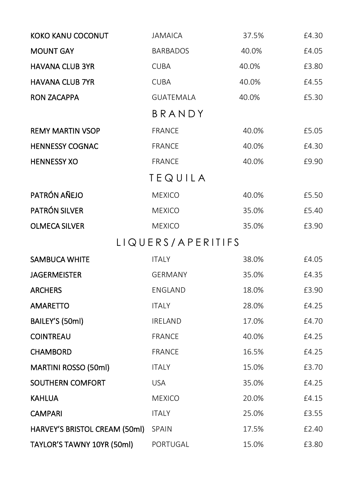| KOKO KANU COCONUT                   | <b>JAMAICA</b>    | 37.5% | £4.30 |
|-------------------------------------|-------------------|-------|-------|
| <b>MOUNT GAY</b>                    | <b>BARBADOS</b>   | 40.0% | £4.05 |
| <b>HAVANA CLUB 3YR</b>              | <b>CUBA</b>       | 40.0% | £3.80 |
| <b>HAVANA CLUB 7YR</b>              | <b>CUBA</b>       | 40.0% | £4.55 |
| <b>RON ZACAPPA</b>                  | <b>GUATEMALA</b>  | 40.0% | £5.30 |
|                                     | BRANDY            |       |       |
| <b>REMY MARTIN VSOP</b>             | <b>FRANCE</b>     | 40.0% | £5.05 |
| <b>HENNESSY COGNAC</b>              | <b>FRANCE</b>     | 40.0% | £4.30 |
| <b>HENNESSY XO</b>                  | <b>FRANCE</b>     | 40.0% | £9.90 |
|                                     | TEQUILA           |       |       |
| PATRÓN AÑEJO                        | <b>MEXICO</b>     | 40.0% | £5.50 |
| PATRÓN SILVER                       | <b>MEXICO</b>     | 35.0% | £5.40 |
| <b>OLMECA SILVER</b>                | <b>MEXICO</b>     | 35.0% | £3.90 |
|                                     | LIQUERS/APERITIFS |       |       |
| SAMBUCA WHITE                       | <b>ITALY</b>      | 38.0% | £4.05 |
| <b>JAGERMEISTER</b>                 | <b>GERMANY</b>    | 35.0% | £4.35 |
| <b>ARCHERS</b>                      | ENGLAND           | 18.0% | £3.90 |
| <b>AMARETTO</b>                     | <b>ITALY</b>      | 28.0% | £4.25 |
| BAILEY'S (50ml)                     | IRELAND           | 17.0% | £4.70 |
| <b>COINTREAU</b>                    | <b>FRANCE</b>     | 40.0% | £4.25 |
| <b>CHAMBORD</b>                     | <b>FRANCE</b>     | 16.5% | £4.25 |
| MARTINI ROSSO (50ml)                | <b>ITALY</b>      | 15.0% | £3.70 |
| SOUTHERN COMFORT                    | <b>USA</b>        | 35.0% | £4.25 |
| <b>KAHLUA</b>                       | <b>MEXICO</b>     | 20.0% | £4.15 |
| <b>CAMPARI</b>                      | <b>ITALY</b>      | 25.0% | £3.55 |
| HARVEY'S BRISTOL CREAM (50ml) SPAIN |                   | 17.5% | £2.40 |
| TAYLOR'S TAWNY 10YR (50ml)          | PORTUGAL          | 15.0% | £3.80 |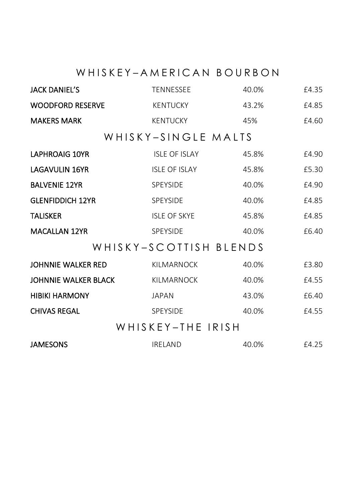# WHISKEY-AMERICAN BOURBON

| <b>JACK DANIEL'S</b>    | <b>TENNESSEE</b>       | 40.0% | £4.35 |
|-------------------------|------------------------|-------|-------|
| <b>WOODFORD RESERVE</b> | <b>KENTUCKY</b>        | 43.2% | £4.85 |
| <b>MAKERS MARK</b>      | <b>KENTUCKY</b>        | 45%   | £4.60 |
|                         | WHISKY-SINGLE MALTS    |       |       |
| <b>LAPHROAIG 10YR</b>   | <b>ISLE OF ISLAY</b>   | 45.8% | £4.90 |
| <b>LAGAVULIN 16YR</b>   | <b>ISLE OF ISLAY</b>   | 45.8% | £5.30 |
| <b>BALVENIE 12YR</b>    | <b>SPEYSIDE</b>        | 40.0% | £4.90 |
| <b>GLENFIDDICH 12YR</b> | <b>SPEYSIDE</b>        | 40.0% | £4.85 |
| <b>TALISKER</b>         | <b>ISLE OF SKYE</b>    | 45.8% | £4.85 |
| <b>MACALLAN 12YR</b>    | <b>SPEYSIDE</b>        | 40.0% | £6.40 |
|                         | WHISKY-SCOTTISH BLENDS |       |       |
| JOHNNIE WALKER RED      | <b>KILMARNOCK</b>      | 40.0% | £3.80 |
| JOHNNIE WALKER BLACK    | <b>KILMARNOCK</b>      | 40.0% | £4.55 |
| <b>HIBIKI HARMONY</b>   | JAPAN                  | 43.0% | £6.40 |
| <b>CHIVAS REGAL</b>     | <b>SPEYSIDE</b>        | 40.0% | £4.55 |
| WHISKEY-THE IRISH       |                        |       |       |
| <b>JAMESONS</b>         | <b>IRELAND</b>         | 40.0% | £4.25 |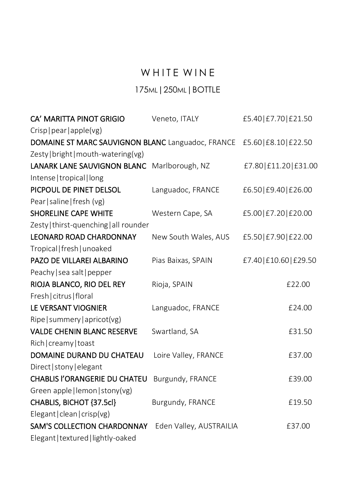# WHITE WINE

#### 175ML|250ML|BOTTLE

| CA' MARITTA PINOT GRIGIO                          | Veneto, ITALY           | £5.40 £7.70 £21.50  |
|---------------------------------------------------|-------------------------|---------------------|
| Crisp   pear   apple(vg)                          |                         |                     |
| DOMAINE ST MARC SAUVIGNON BLANC Languadoc, FRANCE |                         | £5.60 £8.10 £22.50  |
| Zesty   bright   mouth-watering(vg)               |                         |                     |
| LANARK LANE SAUVIGNON BLANC Marlborough, NZ       |                         | £7.80 £11.20 £31.00 |
| Intense   tropical   long                         |                         |                     |
| PICPOUL DE PINET DELSOL                           | Languadoc, FRANCE       | £6.50 £9.40 £26.00  |
| Pear   saline   fresh (vg)                        |                         |                     |
| <b>SHORELINE CAPE WHITE</b>                       | Western Cape, SA        | £5.00 £7.20 £20.00  |
| Zesty   thirst-quenching   all rounder            |                         |                     |
| <b>LEONARD ROAD CHARDONNAY</b>                    | New South Wales, AUS    | £5.50 £7.90 £22.00  |
| Tropical   fresh   unoaked                        |                         |                     |
| PAZO DE VILLAREI ALBARINO                         | Pias Baixas, SPAIN      | £7.40 £10.60 £29.50 |
| Peachy   sea salt   pepper                        |                         |                     |
| RIOJA BLANCO, RIO DEL REY                         | Rioja, SPAIN            | £22.00              |
| Fresh   citrus   floral                           |                         |                     |
| LE VERSANT VIOGNIER                               | Languadoc, FRANCE       | £24.00              |
| Ripe   summery   apricot(vg)                      |                         |                     |
| <b>VALDE CHENIN BLANC RESERVE</b>                 | Swartland, SA           | £31.50              |
| Rich   creamy   toast                             |                         |                     |
| DOMAINE DURAND DU CHATEAU                         | Loire Valley, FRANCE    | £37.00              |
| Direct   stony   elegant                          |                         |                     |
| <b>CHABLIS I'ORANGERIE DU CHATEU</b>              | Burgundy, FRANCE        | £39.00              |
| Green apple   lemon   stony(vg)                   |                         |                     |
| CHABLIS, BICHOT {37.5cl}                          | Burgundy, FRANCE        | £19.50              |
| Elegant   clean   crisp(vg)                       |                         |                     |
| SAM'S COLLECTION CHARDONNAY                       | Eden Valley, AUSTRAILIA | £37.00              |
| Elegant   textured   lightly-oaked                |                         |                     |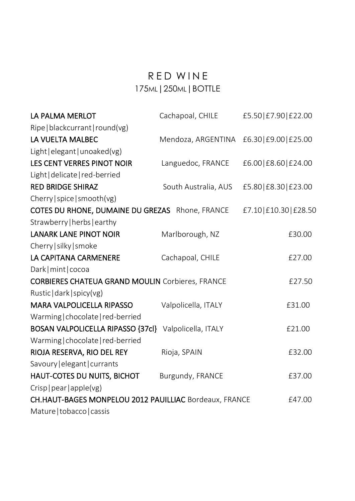## R E D W IN E 175ML|250ML|BOTTLE

| LA PALMA MERLOT                                         | Cachapoal, CHILE     | £5.50 £7.90 £22.00  |
|---------------------------------------------------------|----------------------|---------------------|
| Ripe   blackcurrant   round(vg)                         |                      |                     |
| LA VUELTA MALBEC                                        | Mendoza, ARGENTINA   | £6.30 £9.00 £25.00  |
| Light   elegant   unoaked(vg)                           |                      |                     |
| LES CENT VERRES PINOT NOIR                              | Languedoc, FRANCE    | £6.00 £8.60 £24.00  |
| Light   delicate   red-berried                          |                      |                     |
| <b>RED BRIDGE SHIRAZ</b>                                | South Australia, AUS | £5.80 £8.30 £23.00  |
| Cherry   spice   smooth (vg)                            |                      |                     |
| COTES DU RHONE, DUMAINE DU GREZAS Rhone, FRANCE         |                      | £7.10 £10.30 £28.50 |
| Strawberry   herbs   earthy                             |                      |                     |
| <b>LANARK LANE PINOT NOIR</b>                           | Marlborough, NZ      | £30.00              |
| Cherry   silky   smoke                                  |                      |                     |
| LA CAPITANA CARMENERE                                   | Cachapoal, CHILE     | £27.00              |
| Dark   mint   cocoa                                     |                      |                     |
| <b>CORBIERES CHATEUA GRAND MOULIN Corbieres, FRANCE</b> |                      | £27.50              |
| Rustic   dark   spicy(vg)                               |                      |                     |
| <b>MARA VALPOLICELLA RIPASSO</b>                        | Valpolicella, ITALY  | £31.00              |
| Warming   chocolate   red-berried                       |                      |                     |
| <b>BOSAN VALPOLICELLA RIPASSO {37cl}</b>                | Valpolicella, ITALY  | £21.00              |
| Warming   chocolate   red-berried                       |                      |                     |
| RIOJA RESERVA, RIO DEL REY                              | Rioja, SPAIN         | £32.00              |
| Savoury   elegant   currants                            |                      |                     |
| HAUT-COTES DU NUITS, BICHOT                             | Burgundy, FRANCE     | £37.00              |
| Crisp   pear   apple(vg)                                |                      |                     |
| CH.HAUT-BAGES MONPELOU 2012 PAUILLIAC Bordeaux, FRANCE  |                      | £47.00              |
| Mature   tobacco   cassis                               |                      |                     |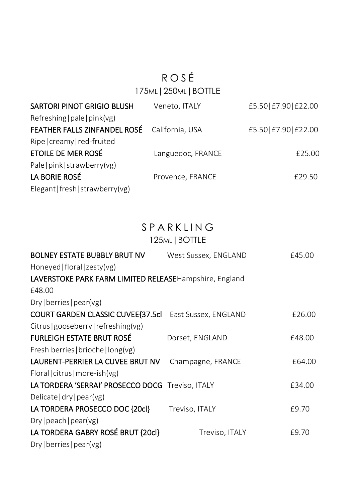# R O S É 175ML|250ML|BOTTLE

| Veneto, ITALY                                | £5.50 £7.90 £22.00 |
|----------------------------------------------|--------------------|
|                                              |                    |
| FEATHER FALLS ZINFANDEL ROSÉ California, USA | £5.50 £7.90 £22.00 |
|                                              |                    |
| Languedoc, FRANCE                            | £25.00             |
|                                              |                    |
| Provence, FRANCE                             | £29.50             |
|                                              |                    |
|                                              |                    |

# **SPARKLING**

| 125ML   BOTTLE |  |
|----------------|--|
|----------------|--|

| BOLNEY ESTATE BUBBLY BRUT NV                           | West Sussex, ENGLAND | £45.00 |
|--------------------------------------------------------|----------------------|--------|
| Honeyed   floral   zesty(vg)                           |                      |        |
| LAVERSTOKE PARK FARM LIMITED RELEASEHampshire, England |                      |        |
| £48.00                                                 |                      |        |
| $Dry$   berries   pear(vg)                             |                      |        |
| COURT GARDEN CLASSIC CUVEE [37.5cl                     | East Sussex, ENGLAND | £26.00 |
| Citrus   gooseberry   refreshing(vg)                   |                      |        |
| FURLEIGH ESTATE BRUT ROSÉ                              | Dorset, ENGLAND      | £48.00 |
| Fresh berries   brioche   long(vg)                     |                      |        |
| LAURENT-PERRIER LA CUVEE BRUT NV                       | Champagne, FRANCE    | £64.00 |
| Floral   citrus   more-ish(vg)                         |                      |        |
| LA TORDERA 'SERRAI' PROSECCO DOCG Treviso, ITALY       |                      | £34.00 |
| Delicate $ dry $ pear(vg)                              |                      |        |
| LA TORDERA PROSECCO DOC {20cl}                         | Treviso, ITALY       | £9.70  |
| $Dry $ peach $ $ pear(vg)                              |                      |        |
| LA TORDERA GABRY ROSÉ BRUT {20cl}                      | Treviso, ITALY       | £9.70  |
| $Dry$   berries   pear(vg)                             |                      |        |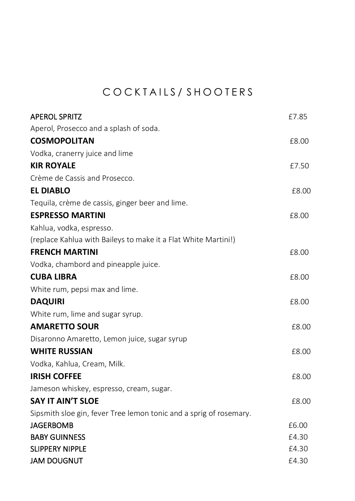# COCKTAILS / SHOOTERS

| <b>APEROL SPRITZ</b>                                               | £7.85 |
|--------------------------------------------------------------------|-------|
| Aperol, Prosecco and a splash of soda.                             |       |
| <b>COSMOPOLITAN</b>                                                | £8.00 |
| Vodka, cranerry juice and lime                                     |       |
| <b>KIR ROYALE</b>                                                  | £7.50 |
| Crème de Cassis and Prosecco.                                      |       |
| <b>EL DIABLO</b>                                                   | £8.00 |
| Tequila, crème de cassis, ginger beer and lime.                    |       |
| <b>ESPRESSO MARTINI</b>                                            | £8.00 |
| Kahlua, vodka, espresso.                                           |       |
| (replace Kahlua with Baileys to make it a Flat White Martini!)     |       |
| <b>FRENCH MARTINI</b>                                              | £8.00 |
| Vodka, chambord and pineapple juice.                               |       |
| <b>CUBA LIBRA</b>                                                  | £8.00 |
| White rum, pepsi max and lime.                                     |       |
| <b>DAQUIRI</b>                                                     | £8.00 |
| White rum, lime and sugar syrup.                                   |       |
| <b>AMARETTO SOUR</b>                                               | £8.00 |
| Disaronno Amaretto, Lemon juice, sugar syrup                       |       |
| <b>WHITE RUSSIAN</b>                                               | £8.00 |
| Vodka, Kahlua, Cream, Milk.                                        |       |
| <b>IRISH COFFEE</b>                                                | £8.00 |
| Jameson whiskey, espresso, cream, sugar.                           |       |
| <b>SAY IT AIN'T SLOE</b>                                           | £8.00 |
| Sipsmith sloe gin, fever Tree lemon tonic and a sprig of rosemary. |       |
| <b>JAGERBOMB</b>                                                   | £6.00 |
| <b>BABY GUINNESS</b>                                               | £4.30 |
| <b>SLIPPERY NIPPLE</b>                                             | £4.30 |
| <b>JAM DOUGNUT</b>                                                 | £4.30 |